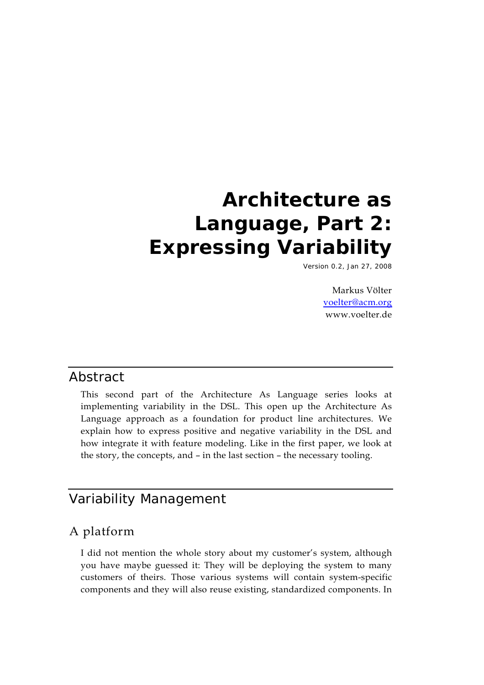# **Architecture as Language, Part 2: Expressing Variability**

Version 0.2, Jan 27, 2008

Markus Völter voelter@acm.org www.voelter.de

#### Abstract

This second part of the Architecture As Language series looks at implementing variability in the DSL. This open up the Architecture As Language approach as a foundation for product line architectures. We explain how to express positive and negative variability in the DSL and how integrate it with feature modeling. Like in the first paper, we look at the story, the concepts, and – in the last section – the necessary tooling.

# Variability Management

### A platform

I did not mention the whole story about my customer's system, although you have maybe guessed it: They will be deploying the system to many customers of theirs. Those various systems will contain system-specific components and they will also reuse existing, standardized components. In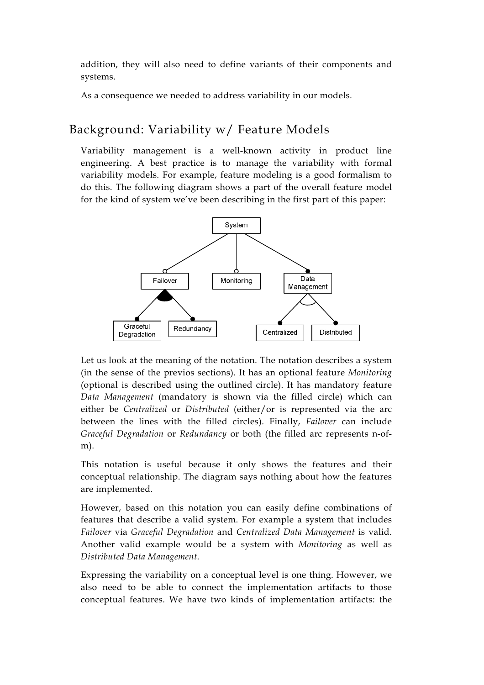addition, they will also need to define variants of their components and systems.

As a consequence we needed to address variability in our models.

# Background: Variability w/ Feature Models

Variability management is a well-known activity in product line engineering. A best practice is to manage the variability with formal variability models. For example, feature modeling is a good formalism to do this. The following diagram shows a part of the overall feature model for the kind of system we've been describing in the first part of this paper:



Let us look at the meaning of the notation. The notation describes a system (in the sense of the previos sections). It has an optional feature *Monitoring* (optional is described using the outlined circle). It has mandatory feature *Data Management* (mandatory is shown via the filled circle) which can either be *Centralized* or *Distributed* (either/or is represented via the arc between the lines with the filled circles). Finally, *Failover* can include *Graceful Degradation* or *Redundancy* or both (the filled arc represents n-ofm).

This notation is useful because it only shows the features and their conceptual relationship. The diagram says nothing about how the features are implemented.

However, based on this notation you can easily define combinations of features that describe a valid system. For example a system that includes *Failover* via *Graceful Degradation* and *Centralized Data Management* is valid. Another valid example would be a system with *Monitoring* as well as *Distributed Data Management*.

Expressing the variability on a conceptual level is one thing. However, we also need to be able to connect the implementation artifacts to those conceptual features. We have two kinds of implementation artifacts: the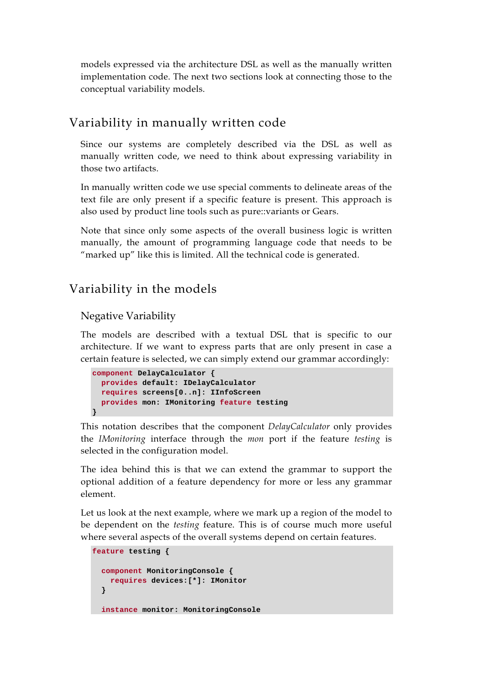models expressed via the architecture DSL as well as the manually written implementation code. The next two sections look at connecting those to the conceptual variability models.

### Variability in manually written code

Since our systems are completely described via the DSL as well as manually written code, we need to think about expressing variability in those two artifacts.

In manually written code we use special comments to delineate areas of the text file are only present if a specific feature is present. This approach is also used by product line tools such as pure::variants or Gears.

Note that since only some aspects of the overall business logic is written manually, the amount of programming language code that needs to be "marked up" like this is limited. All the technical code is generated.

### Variability in the models

#### Negative Variability

The models are described with a textual DSL that is specific to our architecture. If we want to express parts that are only present in case a certain feature is selected, we can simply extend our grammar accordingly:

```
component DelayCalculator { 
   provides default: IDelayCalculator 
   requires screens[0..n]: IInfoScreen 
   provides mon: IMonitoring feature testing 
}
```
This notation describes that the component *DelayCalculator* only provides the *IMonitoring* interface through the *mon* port if the feature *testing* is selected in the configuration model.

The idea behind this is that we can extend the grammar to support the optional addition of a feature dependency for more or less any grammar element.

Let us look at the next example, where we mark up a region of the model to be dependent on the *testing* feature. This is of course much more useful where several aspects of the overall systems depend on certain features.

```
feature testing { 
   component MonitoringConsole { 
     requires devices:[*]: IMonitor 
   } 
   instance monitor: MonitoringConsole
```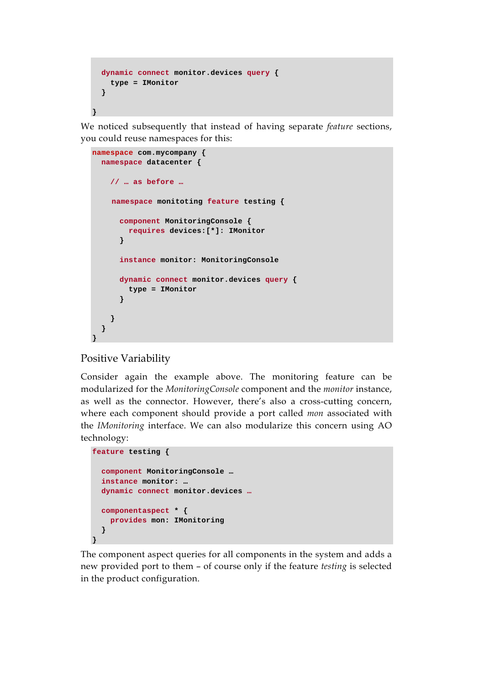```
 dynamic connect monitor.devices query { 
    type = IMonitor 
   } 
}
```
We noticed subsequently that instead of having separate *feature* sections, you could reuse namespaces for this:

```
namespace com.mycompany { 
   namespace datacenter { 
     // … as before … 
     namespace monitoting feature testing { 
       component MonitoringConsole { 
         requires devices:[*]: IMonitor 
       } 
       instance monitor: MonitoringConsole 
       dynamic connect monitor.devices query { 
         type = IMonitor 
       } 
     } 
   } 
}
```
#### Positive Variability

Consider again the example above. The monitoring feature can be modularized for the *MonitoringConsole* component and the *monitor* instance, as well as the connector. However, there's also a cross-cutting concern, where each component should provide a port called *mon* associated with the *IMonitoring* interface. We can also modularize this concern using AO technology:

```
feature testing { 
   component MonitoringConsole … 
   instance monitor: … 
   dynamic connect monitor.devices …
   componentaspect * { 
     provides mon: IMonitoring 
   } 
}
```
The component aspect queries for all components in the system and adds a new provided port to them – of course only if the feature *testing* is selected in the product configuration.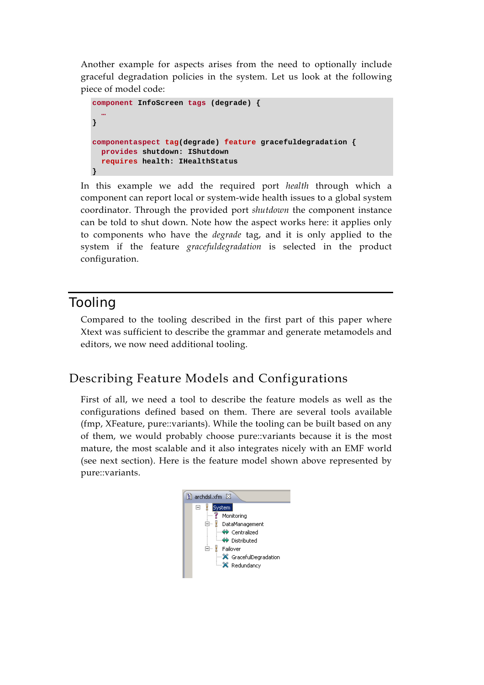Another example for aspects arises from the need to optionally include graceful degradation policies in the system. Let us look at the following piece of model code:

```
component InfoScreen tags (degrade) { 
 …
} 
componentaspect tag(degrade) feature gracefuldegradation { 
   provides shutdown: IShutdown 
   requires health: IHealthStatus 
}
```
In this example we add the required port *health* through which a component can report local or system-wide health issues to a global system coordinator. Through the provided port *shutdown* the component instance can be told to shut down. Note how the aspect works here: it applies only to components who have the *degrade* tag, and it is only applied to the system if the feature *gracefuldegradation* is selected in the product configuration.

# Tooling

Compared to the tooling described in the first part of this paper where Xtext was sufficient to describe the grammar and generate metamodels and editors, we now need additional tooling.

# Describing Feature Models and Configurations

First of all, we need a tool to describe the feature models as well as the configurations defined based on them. There are several tools available (fmp, XFeature, pure::variants). While the tooling can be built based on any of them, we would probably choose pure::variants because it is the most mature, the most scalable and it also integrates nicely with an EMF world (see next section). Here is the feature model shown above represented by pure::variants.

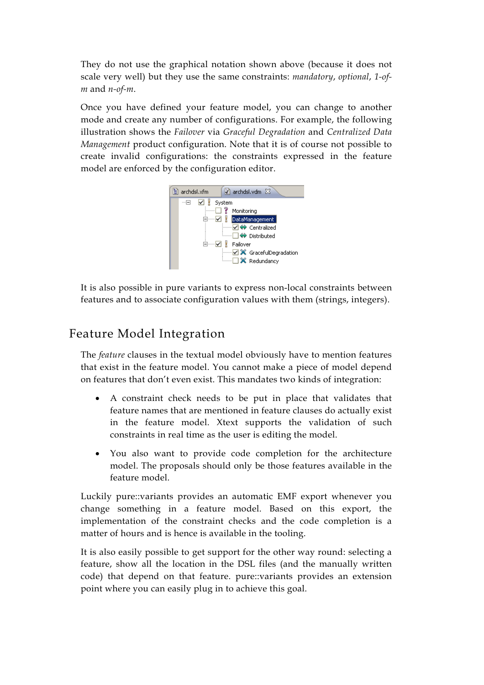They do not use the graphical notation shown above (because it does not scale very well) but they use the same constraints: *mandatory*, *optional*, *1-ofm* and *n-of-m*.

Once you have defined your feature model, you can change to another mode and create any number of configurations. For example, the following illustration shows the *Failover* via *Graceful Degradation* and *Centralized Data Management* product configuration. Note that it is of course not possible to create invalid configurations: the constraints expressed in the feature model are enforced by the configuration editor.



It is also possible in pure variants to express non-local constraints between features and to associate configuration values with them (strings, integers).

# Feature Model Integration

The *feature* clauses in the textual model obviously have to mention features that exist in the feature model. You cannot make a piece of model depend on features that don't even exist. This mandates two kinds of integration:

- A constraint check needs to be put in place that validates that feature names that are mentioned in feature clauses do actually exist in the feature model. Xtext supports the validation of such constraints in real time as the user is editing the model.
- You also want to provide code completion for the architecture model. The proposals should only be those features available in the feature model.

Luckily pure::variants provides an automatic EMF export whenever you change something in a feature model. Based on this export, the implementation of the constraint checks and the code completion is a matter of hours and is hence is available in the tooling.

It is also easily possible to get support for the other way round: selecting a feature, show all the location in the DSL files (and the manually written code) that depend on that feature. pure::variants provides an extension point where you can easily plug in to achieve this goal.